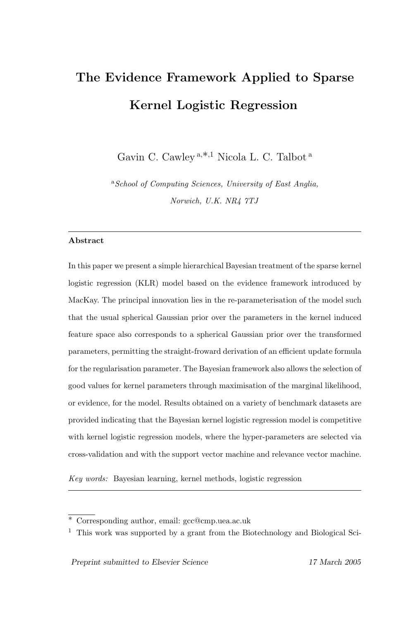# The Evidence Framework Applied to Sparse Kernel Logistic Regression

Gavin C. Cawley <sup>a</sup>,∗,<sup>1</sup> Nicola L. C. Talbot <sup>a</sup>

<sup>a</sup>School of Computing Sciences, University of East Anglia, Norwich, U.K. NR4 7TJ

#### Abstract

In this paper we present a simple hierarchical Bayesian treatment of the sparse kernel logistic regression (KLR) model based on the evidence framework introduced by MacKay. The principal innovation lies in the re-parameterisation of the model such that the usual spherical Gaussian prior over the parameters in the kernel induced feature space also corresponds to a spherical Gaussian prior over the transformed parameters, permitting the straight-froward derivation of an efficient update formula for the regularisation parameter. The Bayesian framework also allows the selection of good values for kernel parameters through maximisation of the marginal likelihood, or evidence, for the model. Results obtained on a variety of benchmark datasets are provided indicating that the Bayesian kernel logistic regression model is competitive with kernel logistic regression models, where the hyper-parameters are selected via cross-validation and with the support vector machine and relevance vector machine.

Key words: Bayesian learning, kernel methods, logistic regression

<sup>∗</sup> Corresponding author, email: gcc@cmp.uea.ac.uk

<sup>&</sup>lt;sup>1</sup> This work was supported by a grant from the Biotechnology and Biological Sci-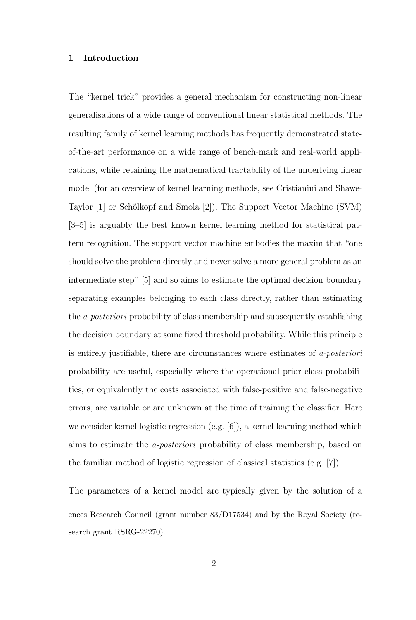#### 1 Introduction

The "kernel trick" provides a general mechanism for constructing non-linear generalisations of a wide range of conventional linear statistical methods. The resulting family of kernel learning methods has frequently demonstrated stateof-the-art performance on a wide range of bench-mark and real-world applications, while retaining the mathematical tractability of the underlying linear model (for an overview of kernel learning methods, see Cristianini and Shawe-Taylor [1] or Schölkopf and Smola [2]). The Support Vector Machine (SVM) [3–5] is arguably the best known kernel learning method for statistical pattern recognition. The support vector machine embodies the maxim that "one should solve the problem directly and never solve a more general problem as an intermediate step" [5] and so aims to estimate the optimal decision boundary separating examples belonging to each class directly, rather than estimating the a-posteriori probability of class membership and subsequently establishing the decision boundary at some fixed threshold probability. While this principle is entirely justifiable, there are circumstances where estimates of a-posteriori probability are useful, especially where the operational prior class probabilities, or equivalently the costs associated with false-positive and false-negative errors, are variable or are unknown at the time of training the classifier. Here we consider kernel logistic regression (e.g. [6]), a kernel learning method which aims to estimate the a-posteriori probability of class membership, based on the familiar method of logistic regression of classical statistics (e.g. [7]).

The parameters of a kernel model are typically given by the solution of a ences Research Council (grant number 83/D17534) and by the Royal Society (research grant RSRG-22270).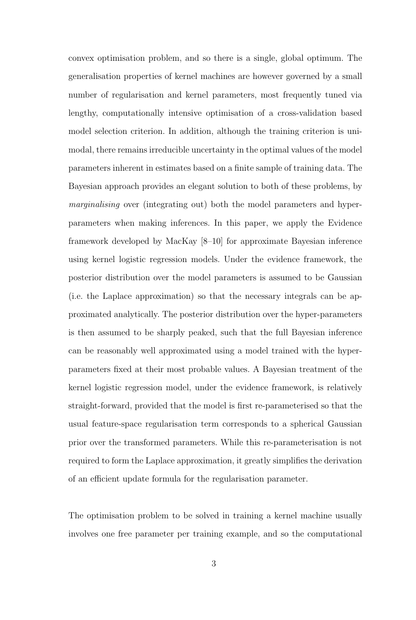convex optimisation problem, and so there is a single, global optimum. The generalisation properties of kernel machines are however governed by a small number of regularisation and kernel parameters, most frequently tuned via lengthy, computationally intensive optimisation of a cross-validation based model selection criterion. In addition, although the training criterion is unimodal, there remains irreducible uncertainty in the optimal values of the model parameters inherent in estimates based on a finite sample of training data. The Bayesian approach provides an elegant solution to both of these problems, by marginalising over (integrating out) both the model parameters and hyperparameters when making inferences. In this paper, we apply the Evidence framework developed by MacKay [8–10] for approximate Bayesian inference using kernel logistic regression models. Under the evidence framework, the posterior distribution over the model parameters is assumed to be Gaussian (i.e. the Laplace approximation) so that the necessary integrals can be approximated analytically. The posterior distribution over the hyper-parameters is then assumed to be sharply peaked, such that the full Bayesian inference can be reasonably well approximated using a model trained with the hyperparameters fixed at their most probable values. A Bayesian treatment of the kernel logistic regression model, under the evidence framework, is relatively straight-forward, provided that the model is first re-parameterised so that the usual feature-space regularisation term corresponds to a spherical Gaussian prior over the transformed parameters. While this re-parameterisation is not required to form the Laplace approximation, it greatly simplifies the derivation of an efficient update formula for the regularisation parameter.

The optimisation problem to be solved in training a kernel machine usually involves one free parameter per training example, and so the computational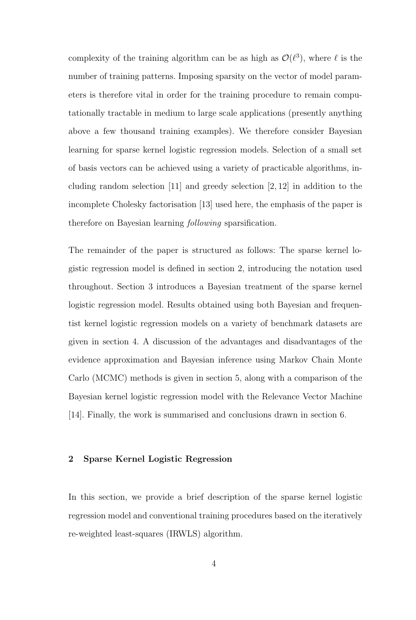complexity of the training algorithm can be as high as  $\mathcal{O}(\ell^3)$ , where  $\ell$  is the number of training patterns. Imposing sparsity on the vector of model parameters is therefore vital in order for the training procedure to remain computationally tractable in medium to large scale applications (presently anything above a few thousand training examples). We therefore consider Bayesian learning for sparse kernel logistic regression models. Selection of a small set of basis vectors can be achieved using a variety of practicable algorithms, including random selection [11] and greedy selection [2, 12] in addition to the incomplete Cholesky factorisation [13] used here, the emphasis of the paper is therefore on Bayesian learning following sparsification.

The remainder of the paper is structured as follows: The sparse kernel logistic regression model is defined in section 2, introducing the notation used throughout. Section 3 introduces a Bayesian treatment of the sparse kernel logistic regression model. Results obtained using both Bayesian and frequentist kernel logistic regression models on a variety of benchmark datasets are given in section 4. A discussion of the advantages and disadvantages of the evidence approximation and Bayesian inference using Markov Chain Monte Carlo (MCMC) methods is given in section 5, along with a comparison of the Bayesian kernel logistic regression model with the Relevance Vector Machine [14]. Finally, the work is summarised and conclusions drawn in section 6.

#### 2 Sparse Kernel Logistic Regression

In this section, we provide a brief description of the sparse kernel logistic regression model and conventional training procedures based on the iteratively re-weighted least-squares (IRWLS) algorithm.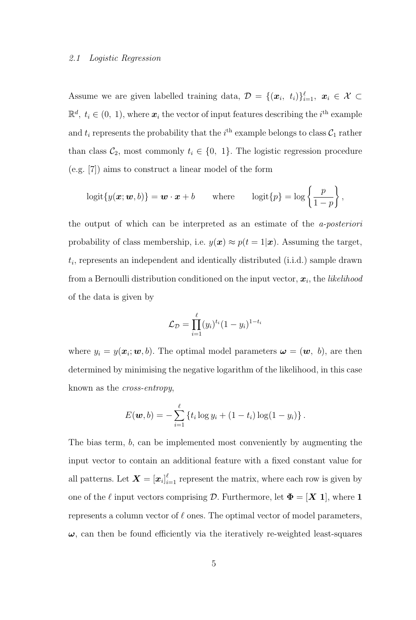#### 2.1 Logistic Regression

Assume we are given labelled training data,  $\mathcal{D} = \{(\bm{x}_i, t_i)\}_{i=1}^{\ell}, \ \bm{x}_i \in \mathcal{X} \subset$  $\mathbb{R}^d$ ,  $t_i \in (0, 1)$ , where  $\boldsymbol{x}_i$  the vector of input features describing the  $i^{\text{th}}$  example and  $t_i$  represents the probability that the  $i^{\text{th}}$  example belongs to class  $\mathcal{C}_1$  rather than class  $C_2$ , most commonly  $t_i \in \{0, 1\}$ . The logistic regression procedure (e.g. [7]) aims to construct a linear model of the form

$$
logit\{y(\boldsymbol{x};\boldsymbol{w},b)\} = \boldsymbol{w}\cdot\boldsymbol{x} + b \quad \text{where} \quad logit\{p\} = log\left\{\frac{p}{1-p}\right\},\
$$

the output of which can be interpreted as an estimate of the a-posteriori probability of class membership, i.e.  $y(x) \approx p(t = 1|x)$ . Assuming the target,  $t_i$ , represents an independent and identically distributed (i.i.d.) sample drawn from a Bernoulli distribution conditioned on the input vector,  $\boldsymbol{x}_i$ , the *likelihood* of the data is given by

$$
\mathcal{L}_{\mathcal{D}} = \prod_{i=1}^{\ell} (y_i)^{t_i} (1 - y_i)^{1 - t_i}
$$

where  $y_i = y(\boldsymbol{x}_i; \boldsymbol{w}, b)$ . The optimal model parameters  $\boldsymbol{\omega} = (\boldsymbol{w}, b)$ , are then determined by minimising the negative logarithm of the likelihood, in this case known as the cross-entropy,

$$
E(\boldsymbol{w},b) = -\sum_{i=1}^{\ell} \left\{ t_i \log y_i + (1-t_i) \log(1-y_i) \right\}.
$$

The bias term, b, can be implemented most conveniently by augmenting the input vector to contain an additional feature with a fixed constant value for all patterns. Let  $\boldsymbol{X} = [\boldsymbol{x}_i]_{i=1}^{\ell}$  represent the matrix, where each row is given by one of the  $\ell$  input vectors comprising  $\mathcal{D}$ . Furthermore, let  $\mathbf{\Phi} = [\mathbf{X} \; \mathbf{1}]$ , where 1 represents a column vector of  $\ell$  ones. The optimal vector of model parameters,  $\omega$ , can then be found efficiently via the iteratively re-weighted least-squares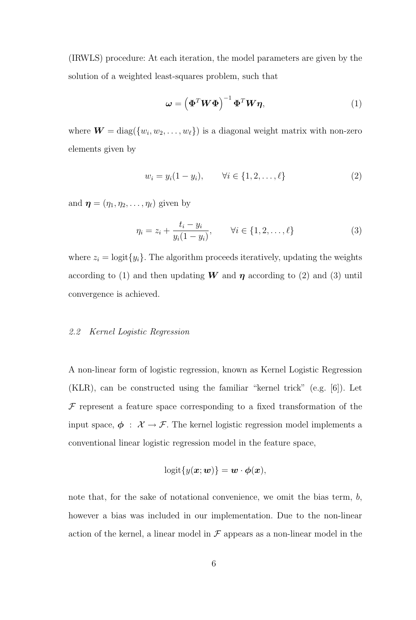(IRWLS) procedure: At each iteration, the model parameters are given by the solution of a weighted least-squares problem, such that

$$
\omega = \left(\mathbf{\Phi}^T \mathbf{W} \mathbf{\Phi}\right)^{-1} \mathbf{\Phi}^T \mathbf{W} \boldsymbol{\eta},\tag{1}
$$

where  $\boldsymbol{W} = \text{diag}(\{w_i, w_2, \dots, w_{\ell}\})$  is a diagonal weight matrix with non-zero elements given by

$$
w_i = y_i(1 - y_i), \qquad \forall i \in \{1, 2, \dots, \ell\}
$$
 (2)

and  $\boldsymbol{\eta} = (\eta_1, \eta_2, \dots, \eta_\ell)$  given by

$$
\eta_i = z_i + \frac{t_i - y_i}{y_i(1 - y_i)}, \qquad \forall i \in \{1, 2, \dots, \ell\}
$$
 (3)

where  $z_i = \text{logit}\{y_i\}$ . The algorithm proceeds iteratively, updating the weights according to (1) and then updating **W** and  $\eta$  according to (2) and (3) until convergence is achieved.

#### 2.2 Kernel Logistic Regression

A non-linear form of logistic regression, known as Kernel Logistic Regression (KLR), can be constructed using the familiar "kernel trick" (e.g. [6]). Let  $F$  represent a feature space corresponding to a fixed transformation of the input space,  $\phi$  :  $\mathcal{X} \rightarrow \mathcal{F}$ . The kernel logistic regression model implements a conventional linear logistic regression model in the feature space,

$$
logit{y(\boldsymbol{x};\boldsymbol{w})} = \boldsymbol{w} \cdot \boldsymbol{\phi}(\boldsymbol{x}),
$$

note that, for the sake of notational convenience, we omit the bias term,  $b$ , however a bias was included in our implementation. Due to the non-linear action of the kernel, a linear model in  $\mathcal F$  appears as a non-linear model in the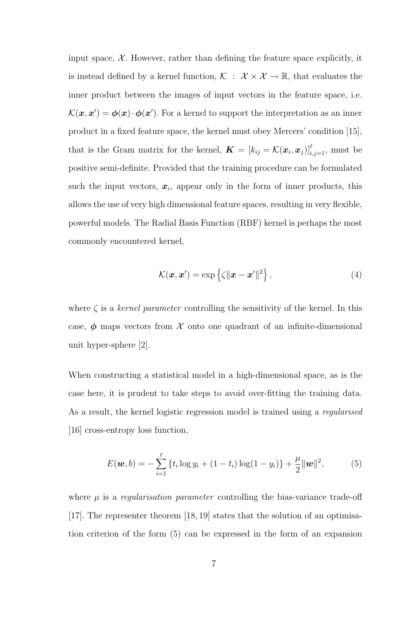input space,  $\mathcal{X}$ . However, rather than defining the feature space explicitly, it is instead defined by a kernel function,  $\mathcal{K} : \mathcal{X} \times \mathcal{X} \to \mathbb{R}$ , that evaluates the inner product between the images of input vectors in the feature space, i.e.  $\mathcal{K}(\bm{x}, \bm{x}') = \bm{\phi}(\bm{x}) \cdot \bm{\phi}(\bm{x}')$ . For a kernel to support the interpretation as an inner product in a fixed feature space, the kernel must obey Mercers' condition [15], that is the Gram matrix for the kernel,  $\boldsymbol{K} = [k_{ij} = \mathcal{K}(\boldsymbol{x}_i, \boldsymbol{x}_j)]_{i,j=1}^{\ell}$ , must be positive semi-definite. Provided that the training procedure can be formulated such the input vectors,  $x_i$ , appear only in the form of inner products, this allows the use of very high dimensional feature spaces, resulting in very flexible, powerful models. The Radial Basis Function (RBF) kernel is perhaps the most commonly encountered kernel,

$$
\mathcal{K}(\boldsymbol{x}, \boldsymbol{x}') = \exp\left\{\zeta \|\boldsymbol{x} - \boldsymbol{x}'\|^2\right\},\tag{4}
$$

where  $\zeta$  is a *kernel parameter* controlling the sensitivity of the kernel. In this case,  $\phi$  maps vectors from  $\mathcal X$  onto one quadrant of an infinite-dimensional unit hyper-sphere [2].

When constructing a statistical model in a high-dimensional space, as is the case here, it is prudent to take steps to avoid over-fitting the training data. As a result, the kernel logistic regression model is trained using a regularised [16] cross-entropy loss function,

$$
E(\boldsymbol{w},b) = -\sum_{i=1}^{\ell} \{t_i \log y_i + (1-t_i) \log(1-y_i)\} + \frac{\mu}{2} ||\boldsymbol{w}||^2, \tag{5}
$$

where  $\mu$  is a regularization parameter controlling the bias-variance trade-off [17]. The representer theorem [18, 19] states that the solution of an optimisation criterion of the form (5) can be expressed in the form of an expansion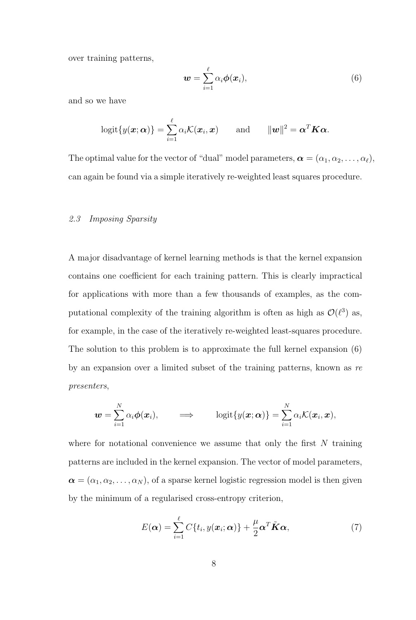over training patterns,

$$
\mathbf{w} = \sum_{i=1}^{\ell} \alpha_i \boldsymbol{\phi}(\mathbf{x}_i), \tag{6}
$$

and so we have

$$
logit\{y(\boldsymbol{x};\boldsymbol{\alpha})\} = \sum_{i=1}^{\ell} \alpha_i \mathcal{K}(\boldsymbol{x}_i, \boldsymbol{x}) \quad \text{and} \quad \|\boldsymbol{w}\|^2 = \boldsymbol{\alpha}^T \boldsymbol{K} \boldsymbol{\alpha}.
$$

The optimal value for the vector of "dual" model parameters,  $\boldsymbol{\alpha} = (\alpha_1, \alpha_2, \dots, \alpha_\ell)$ , can again be found via a simple iteratively re-weighted least squares procedure.

#### 2.3 Imposing Sparsity

A major disadvantage of kernel learning methods is that the kernel expansion contains one coefficient for each training pattern. This is clearly impractical for applications with more than a few thousands of examples, as the computational complexity of the training algorithm is often as high as  $\mathcal{O}(\ell^3)$  as, for example, in the case of the iteratively re-weighted least-squares procedure. The solution to this problem is to approximate the full kernel expansion (6) by an expansion over a limited subset of the training patterns, known as re presenters,

$$
\boldsymbol{w} = \sum_{i=1}^N \alpha_i \boldsymbol{\phi}(\boldsymbol{x}_i), \qquad \Longrightarrow \qquad \text{logit}\{y(\boldsymbol{x}; \boldsymbol{\alpha})\} = \sum_{i=1}^N \alpha_i \mathcal{K}(\boldsymbol{x}_i, \boldsymbol{x}),
$$

where for notational convenience we assume that only the first  $N$  training patterns are included in the kernel expansion. The vector of model parameters,  $\boldsymbol{\alpha} = (\alpha_1, \alpha_2, \dots, \alpha_N)$ , of a sparse kernel logistic regression model is then given by the minimum of a regularised cross-entropy criterion,

$$
E(\boldsymbol{\alpha}) = \sum_{i=1}^{\ell} C\{t_i, y(\boldsymbol{x}_i; \boldsymbol{\alpha})\} + \frac{\mu}{2} \boldsymbol{\alpha}^T \tilde{\boldsymbol{K}} \boldsymbol{\alpha},
$$
\n(7)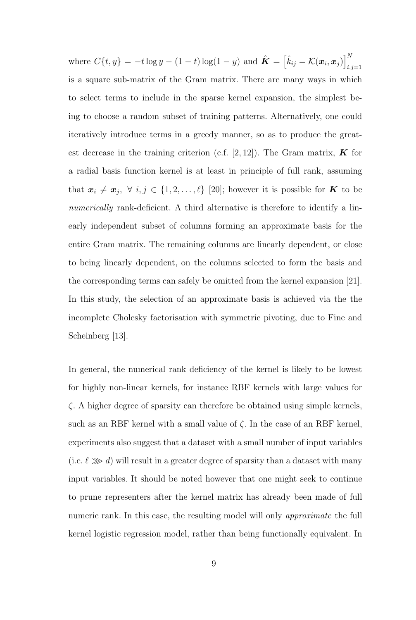where  $C\{t, y\} = -t \log y - (1 - t) \log(1 - y)$  and  $\hat{\mathbf{K}} = \begin{bmatrix} \hat{k}_{ij} = \mathcal{K}(\boldsymbol{x}_i, \boldsymbol{x}_j) \end{bmatrix}^N$  $_{i,j=1}$ is a square sub-matrix of the Gram matrix. There are many ways in which to select terms to include in the sparse kernel expansion, the simplest being to choose a random subset of training patterns. Alternatively, one could iteratively introduce terms in a greedy manner, so as to produce the greatest decrease in the training criterion (c.f. [2, 12]). The Gram matrix,  $\boldsymbol{K}$  for a radial basis function kernel is at least in principle of full rank, assuming that  $x_i \neq x_j, \forall i, j \in \{1, 2, ..., \ell\}$  [20]; however it is possible for K to be numerically rank-deficient. A third alternative is therefore to identify a linearly independent subset of columns forming an approximate basis for the entire Gram matrix. The remaining columns are linearly dependent, or close to being linearly dependent, on the columns selected to form the basis and the corresponding terms can safely be omitted from the kernel expansion [21]. In this study, the selection of an approximate basis is achieved via the the incomplete Cholesky factorisation with symmetric pivoting, due to Fine and Scheinberg [13].

In general, the numerical rank deficiency of the kernel is likely to be lowest for highly non-linear kernels, for instance RBF kernels with large values for ζ. A higher degree of sparsity can therefore be obtained using simple kernels, such as an RBF kernel with a small value of  $\zeta$ . In the case of an RBF kernel, experiments also suggest that a dataset with a small number of input variables (i.e.  $\ell \gg d$ ) will result in a greater degree of sparsity than a dataset with many input variables. It should be noted however that one might seek to continue to prune representers after the kernel matrix has already been made of full numeric rank. In this case, the resulting model will only *approximate* the full kernel logistic regression model, rather than being functionally equivalent. In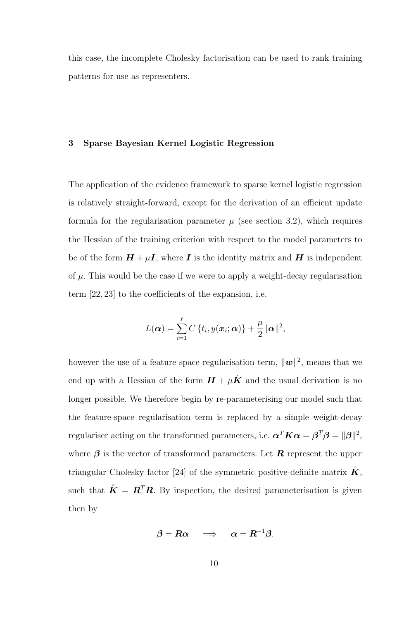this case, the incomplete Cholesky factorisation can be used to rank training patterns for use as representers.

#### 3 Sparse Bayesian Kernel Logistic Regression

The application of the evidence framework to sparse kernel logistic regression is relatively straight-forward, except for the derivation of an efficient update formula for the regularisation parameter  $\mu$  (see section 3.2), which requires the Hessian of the training criterion with respect to the model parameters to be of the form  $H + \mu I$ , where I is the identity matrix and H is independent of  $\mu$ . This would be the case if we were to apply a weight-decay regularisation term [22, 23] to the coefficients of the expansion, i.e.

$$
L(\boldsymbol{\alpha}) = \sum_{i=1}^{\ell} C\left\{t_i, y(\boldsymbol{x}_i; \boldsymbol{\alpha})\right\} + \frac{\mu}{2} ||\boldsymbol{\alpha}||^2,
$$

however the use of a feature space regularisation term,  $\|\boldsymbol{w}\|^2$ , means that we end up with a Hessian of the form  $H + \mu \hat{K}$  and the usual derivation is no longer possible. We therefore begin by re-parameterising our model such that the feature-space regularisation term is replaced by a simple weight-decay regulariser acting on the transformed parameters, i.e.  $\boldsymbol{\alpha}^T \boldsymbol{K} \boldsymbol{\alpha} = \boldsymbol{\beta}^T \boldsymbol{\beta} = ||\boldsymbol{\beta}||^2$ , where  $\beta$  is the vector of transformed parameters. Let **R** represent the upper triangular Cholesky factor [24] of the symmetric positive-definite matrix  $\hat{K}$ , such that  $\hat{\mathbf{K}} = \mathbf{R}^T \mathbf{R}$ . By inspection, the desired parameterisation is given then by

$$
\boldsymbol{\beta} = \boldsymbol{R}\boldsymbol{\alpha} \quad \implies \quad \boldsymbol{\alpha} = \boldsymbol{R}^{-1}\boldsymbol{\beta}.
$$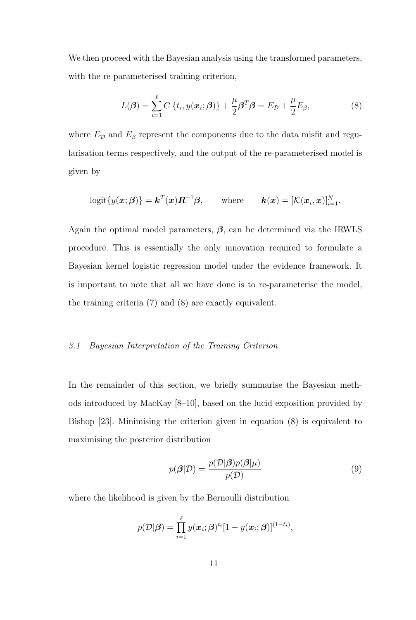We then proceed with the Bayesian analysis using the transformed parameters, with the re-parameterised training criterion,

$$
L(\boldsymbol{\beta}) = \sum_{i=1}^{\ell} C\left\{t_i, y(\boldsymbol{x}_i; \boldsymbol{\beta})\right\} + \frac{\mu}{2} \boldsymbol{\beta}^T \boldsymbol{\beta} = E_{\mathcal{D}} + \frac{\mu}{2} E_{\beta}, \tag{8}
$$

where  $E_{\mathcal{D}}$  and  $E_{\beta}$  represent the components due to the data misfit and regularisation terms respectively, and the output of the re-parameterised model is given by

$$
logit{{y(\boldsymbol{x};\boldsymbol{\beta})} = \boldsymbol{k}^{T}(\boldsymbol{x})\boldsymbol{R}^{-1}\boldsymbol{\beta}, \qquad \text{where} \qquad \boldsymbol{k}(\boldsymbol{x}) = [\mathcal{K}(\boldsymbol{x}_i,\boldsymbol{x})]_{i=1}^N.
$$

Again the optimal model parameters,  $\beta$ , can be determined via the IRWLS procedure. This is essentially the only innovation required to formulate a Bayesian kernel logistic regression model under the evidence framework. It is important to note that all we have done is to re-parameterise the model, the training criteria (7) and (8) are exactly equivalent.

#### 3.1 Bayesian Interpretation of the Training Criterion

In the remainder of this section, we briefly summarise the Bayesian methods introduced by MacKay [8–10], based on the lucid exposition provided by Bishop [23]. Minimising the criterion given in equation (8) is equivalent to maximising the posterior distribution

$$
p(\boldsymbol{\beta}|\mathcal{D}) = \frac{p(\mathcal{D}|\boldsymbol{\beta})p(\boldsymbol{\beta}|\mu)}{p(\mathcal{D})}
$$
\n(9)

where the likelihood is given by the Bernoulli distribution

$$
p(\mathcal{D}|\boldsymbol{\beta}) = \prod_{i=1}^{\ell} y(\boldsymbol{x}_i;\boldsymbol{\beta})^{t_i} [1 - y(\boldsymbol{x}_i;\boldsymbol{\beta})]^{(1-t_i)},
$$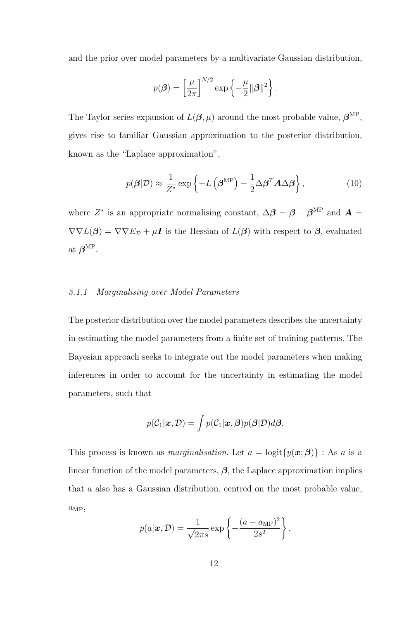and the prior over model parameters by a multivariate Gaussian distribution,

$$
p(\boldsymbol{\beta}) = \left[\frac{\mu}{2\pi}\right]^{N/2} \exp\left\{-\frac{\mu}{2} ||\boldsymbol{\beta}||^2\right\}.
$$

The Taylor series expansion of  $L(\beta, \mu)$  around the most probable value,  $\beta^{\text{MP}},$ gives rise to familiar Gaussian approximation to the posterior distribution, known as the "Laplace approximation",

$$
p(\boldsymbol{\beta}|\mathcal{D}) \approx \frac{1}{Z^*} \exp\left\{-L\left(\boldsymbol{\beta}^{\mathrm{MP}}\right) - \frac{1}{2} \Delta \boldsymbol{\beta}^T \mathbf{A} \Delta \boldsymbol{\beta}\right\},\tag{10}
$$

where  $Z^*$  is an appropriate normalising constant,  $\Delta \beta = \beta - \beta^{\text{MP}}$  and  $A =$  $\nabla \nabla L(\boldsymbol{\beta}) = \nabla \nabla E_{\mathcal{D}} + \mu \mathbf{I}$  is the Hessian of  $L(\boldsymbol{\beta})$  with respect to  $\boldsymbol{\beta}$ , evaluated at  $\boldsymbol{\beta}^{\mathrm{MP}}$ .

#### 3.1.1 Marginalising over Model Parameters

The posterior distribution over the model parameters describes the uncertainty in estimating the model parameters from a finite set of training patterns. The Bayesian approach seeks to integrate out the model parameters when making inferences in order to account for the uncertainty in estimating the model parameters, such that

$$
p(C_1|\boldsymbol{x}, \mathcal{D}) = \int p(C_1|\boldsymbol{x}, \boldsymbol{\beta}) p(\boldsymbol{\beta}|\mathcal{D}) d\boldsymbol{\beta}.
$$

This process is known as *marginalisation*. Let  $a = \text{logit}\{y(\boldsymbol{x}; \boldsymbol{\beta})\}$ : As a is a linear function of the model parameters,  $\beta$ , the Laplace approximation implies that a also has a Gaussian distribution, centred on the most probable value,  $a_{\text{MP}},$ 

$$
p(a|\boldsymbol{x}, \mathcal{D}) = \frac{1}{\sqrt{2\pi s}} \exp\left\{-\frac{(a - a_{\text{MP}})^2}{2s^2}\right\},\,
$$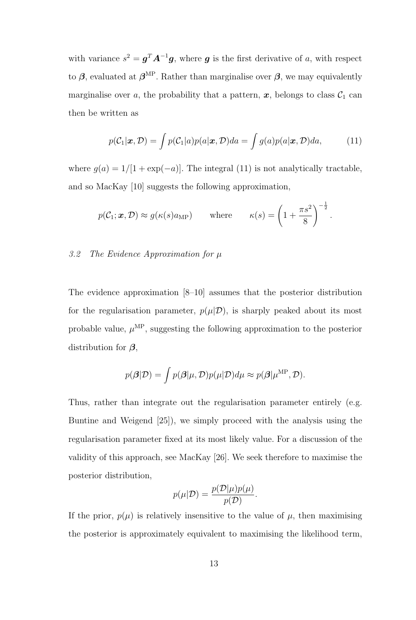with variance  $s^2 = \boldsymbol{g}^T \boldsymbol{A}^{-1} \boldsymbol{g}$ , where  $\boldsymbol{g}$  is the first derivative of a, with respect to  $\beta$ , evaluated at  $\beta^{\text{MP}}$ . Rather than marginalise over  $\beta$ , we may equivalently marginalise over a, the probability that a pattern,  $x$ , belongs to class  $C_1$  can then be written as

$$
p(C_1|\boldsymbol{x}, \mathcal{D}) = \int p(C_1|a)p(a|\boldsymbol{x}, \mathcal{D})da = \int g(a)p(a|\boldsymbol{x}, \mathcal{D})da, \qquad (11)
$$

where  $g(a) = 1/[1 + \exp(-a)]$ . The integral (11) is not analytically tractable, and so MacKay [10] suggests the following approximation,

$$
p(C_1; \mathbf{x}, \mathcal{D}) \approx g(\kappa(s)a_{\text{MP}})
$$
 where  $\kappa(s) = \left(1 + \frac{\pi s^2}{8}\right)^{-\frac{1}{2}}$ .

#### 3.2 The Evidence Approximation for  $\mu$

The evidence approximation [8–10] assumes that the posterior distribution for the regularisation parameter,  $p(\mu|\mathcal{D})$ , is sharply peaked about its most probable value,  $\mu^{\text{MP}}$ , suggesting the following approximation to the posterior distribution for  $\beta$ ,

$$
p(\boldsymbol{\beta}|\mathcal{D}) = \int p(\boldsymbol{\beta}|\mu, \mathcal{D}) p(\mu|\mathcal{D}) d\mu \approx p(\boldsymbol{\beta}|\mu^{\mathrm{MP}}, \mathcal{D}).
$$

Thus, rather than integrate out the regularisation parameter entirely (e.g. Buntine and Weigend [25]), we simply proceed with the analysis using the regularisation parameter fixed at its most likely value. For a discussion of the validity of this approach, see MacKay [26]. We seek therefore to maximise the posterior distribution,

$$
p(\mu|\mathcal{D}) = \frac{p(\mathcal{D}|\mu)p(\mu)}{p(\mathcal{D})}.
$$

If the prior,  $p(\mu)$  is relatively insensitive to the value of  $\mu$ , then maximising the posterior is approximately equivalent to maximising the likelihood term,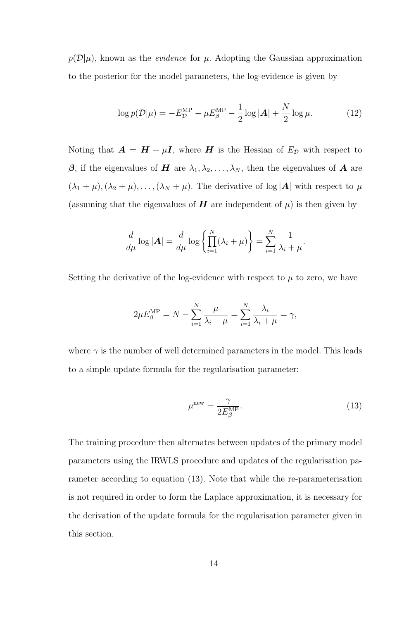$p(\mathcal{D}|\mu)$ , known as the *evidence* for  $\mu$ . Adopting the Gaussian approximation to the posterior for the model parameters, the log-evidence is given by

$$
\log p(\mathcal{D}|\mu) = -E_{\mathcal{D}}^{\text{MP}} - \mu E_{\beta}^{\text{MP}} - \frac{1}{2}\log|\mathbf{A}| + \frac{N}{2}\log\mu.
$$
 (12)

Noting that  $\mathbf{A} = \mathbf{H} + \mu \mathbf{I}$ , where  $\mathbf{H}$  is the Hessian of  $E_{\mathcal{D}}$  with respect to β, if the eigenvalues of H are  $\lambda_1, \lambda_2, ..., \lambda_N$ , then the eigenvalues of A are  $(\lambda_1 + \mu), (\lambda_2 + \mu), \ldots, (\lambda_N + \mu)$ . The derivative of log |A| with respect to  $\mu$ (assuming that the eigenvalues of  $H$  are independent of  $\mu$ ) is then given by

$$
\frac{d}{d\mu}\log|\mathbf{A}| = \frac{d}{d\mu}\log\left\{\prod_{i=1}^N(\lambda_i+\mu)\right\} = \sum_{i=1}^N\frac{1}{\lambda_i+\mu}.
$$

Setting the derivative of the log-evidence with respect to  $\mu$  to zero, we have

$$
2\mu E_{\beta}^{\text{MP}} = N - \sum_{i=1}^{N} \frac{\mu}{\lambda_i + \mu} = \sum_{i=1}^{N} \frac{\lambda_i}{\lambda_i + \mu} = \gamma,
$$

where  $\gamma$  is the number of well determined parameters in the model. This leads to a simple update formula for the regularisation parameter:

$$
\mu^{\text{new}} = \frac{\gamma}{2E_{\beta}^{\text{MP}}}.\tag{13}
$$

The training procedure then alternates between updates of the primary model parameters using the IRWLS procedure and updates of the regularisation parameter according to equation (13). Note that while the re-parameterisation is not required in order to form the Laplace approximation, it is necessary for the derivation of the update formula for the regularisation parameter given in this section.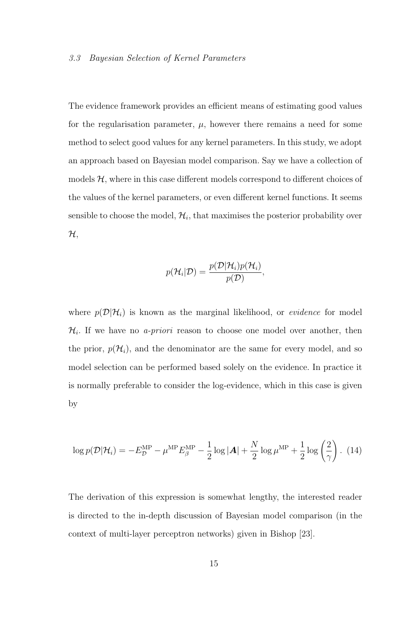#### 3.3 Bayesian Selection of Kernel Parameters

The evidence framework provides an efficient means of estimating good values for the regularisation parameter,  $\mu$ , however there remains a need for some method to select good values for any kernel parameters. In this study, we adopt an approach based on Bayesian model comparison. Say we have a collection of models  $H$ , where in this case different models correspond to different choices of the values of the kernel parameters, or even different kernel functions. It seems sensible to choose the model,  $\mathcal{H}_i$ , that maximises the posterior probability over  $\mathcal{H},$ 

$$
p(\mathcal{H}_i|\mathcal{D}) = \frac{p(\mathcal{D}|\mathcal{H}_i)p(\mathcal{H}_i)}{p(\mathcal{D})},
$$

where  $p(\mathcal{D}|\mathcal{H}_i)$  is known as the marginal likelihood, or *evidence* for model  $\mathcal{H}_i$ . If we have no *a-priori* reason to choose one model over another, then the prior,  $p(\mathcal{H}_i)$ , and the denominator are the same for every model, and so model selection can be performed based solely on the evidence. In practice it is normally preferable to consider the log-evidence, which in this case is given by

$$
\log p(\mathcal{D}|\mathcal{H}_i) = -E_{\mathcal{D}}^{\text{MP}} - \mu^{\text{MP}} E_{\beta}^{\text{MP}} - \frac{1}{2} \log |\mathbf{A}| + \frac{N}{2} \log \mu^{\text{MP}} + \frac{1}{2} \log \left(\frac{2}{\gamma}\right). (14)
$$

The derivation of this expression is somewhat lengthy, the interested reader is directed to the in-depth discussion of Bayesian model comparison (in the context of multi-layer perceptron networks) given in Bishop [23].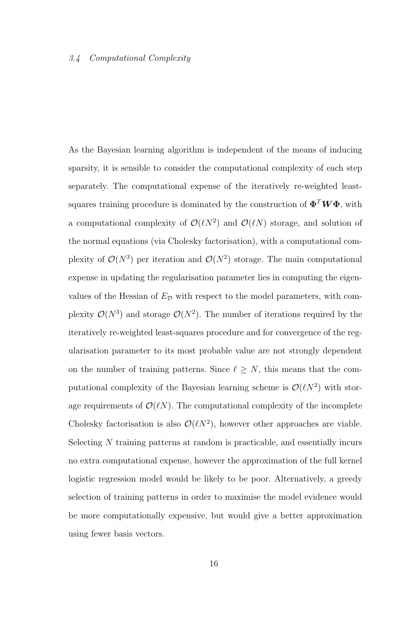#### 3.4 Computational Complexity

As the Bayesian learning algorithm is independent of the means of inducing sparsity, it is sensible to consider the computational complexity of each step separately. The computational expense of the iteratively re-weighted leastsquares training procedure is dominated by the construction of  $\boldsymbol{\Phi}^T \boldsymbol{W} \boldsymbol{\Phi}$ , with a computational complexity of  $\mathcal{O}(\ell N^2)$  and  $\mathcal{O}(\ell N)$  storage, and solution of the normal equations (via Cholesky factorisation), with a computational complexity of  $\mathcal{O}(N^3)$  per iteration and  $\mathcal{O}(N^2)$  storage. The main computational expense in updating the regularisation parameter lies in computing the eigenvalues of the Hessian of  $E<sub>D</sub>$  with respect to the model parameters, with complexity  $\mathcal{O}(N^3)$  and storage  $\mathcal{O}(N^2)$ . The number of iterations required by the iteratively re-weighted least-squares procedure and for convergence of the regularisation parameter to its most probable value are not strongly dependent on the number of training patterns. Since  $\ell \geq N$ , this means that the computational complexity of the Bayesian learning scheme is  $\mathcal{O}(\ell N^2)$  with storage requirements of  $\mathcal{O}(\ell N)$ . The computational complexity of the incomplete Cholesky factorisation is also  $\mathcal{O}(\ell N^2)$ , however other approaches are viable. Selecting N training patterns at random is practicable, and essentially incurs no extra computational expense, however the approximation of the full kernel logistic regression model would be likely to be poor. Alternatively, a greedy selection of training patterns in order to maximise the model evidence would be more computationally expensive, but would give a better approximation using fewer basis vectors.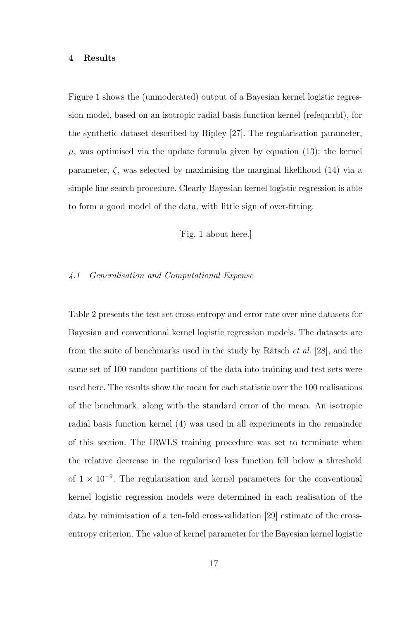#### 4 Results

Figure 1 shows the (unmoderated) output of a Bayesian kernel logistic regression model, based on an isotropic radial basis function kernel (refeqn:rbf), for the synthetic dataset described by Ripley [27]. The regularisation parameter,  $\mu$ , was optimised via the update formula given by equation (13); the kernel parameter,  $\zeta$ , was selected by maximising the marginal likelihood (14) via a simple line search procedure. Clearly Bayesian kernel logistic regression is able to form a good model of the data, with little sign of over-fitting.

[Fig. 1 about here.]

#### 4.1 Generalisation and Computational Expense

Table 2 presents the test set cross-entropy and error rate over nine datasets for Bayesian and conventional kernel logistic regression models. The datasets are from the suite of benchmarks used in the study by Rätsch *et al.* [28], and the same set of 100 random partitions of the data into training and test sets were used here. The results show the mean for each statistic over the 100 realisations of the benchmark, along with the standard error of the mean. An isotropic radial basis function kernel (4) was used in all experiments in the remainder of this section. The IRWLS training procedure was set to terminate when the relative decrease in the regularised loss function fell below a threshold of  $1 \times 10^{-9}$ . The regularisation and kernel parameters for the conventional kernel logistic regression models were determined in each realisation of the data by minimisation of a ten-fold cross-validation [29] estimate of the crossentropy criterion. The value of kernel parameter for the Bayesian kernel logistic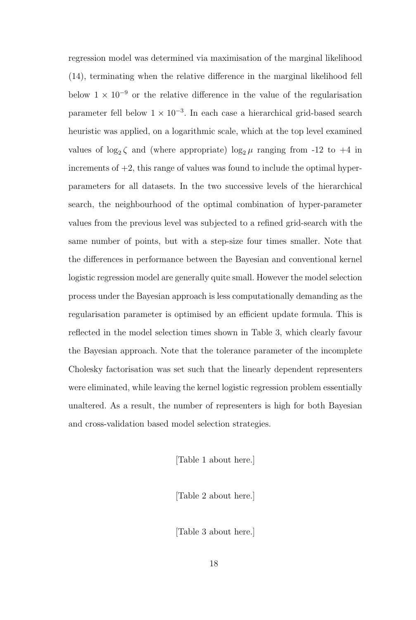regression model was determined via maximisation of the marginal likelihood (14), terminating when the relative difference in the marginal likelihood fell below  $1 \times 10^{-9}$  or the relative difference in the value of the regularisation parameter fell below  $1 \times 10^{-3}$ . In each case a hierarchical grid-based search heuristic was applied, on a logarithmic scale, which at the top level examined values of  $log_2 \zeta$  and (where appropriate)  $log_2 \mu$  ranging from -12 to +4 in increments of  $+2$ , this range of values was found to include the optimal hyperparameters for all datasets. In the two successive levels of the hierarchical search, the neighbourhood of the optimal combination of hyper-parameter values from the previous level was subjected to a refined grid-search with the same number of points, but with a step-size four times smaller. Note that the differences in performance between the Bayesian and conventional kernel logistic regression model are generally quite small. However the model selection process under the Bayesian approach is less computationally demanding as the regularisation parameter is optimised by an efficient update formula. This is reflected in the model selection times shown in Table 3, which clearly favour the Bayesian approach. Note that the tolerance parameter of the incomplete Cholesky factorisation was set such that the linearly dependent representers were eliminated, while leaving the kernel logistic regression problem essentially unaltered. As a result, the number of representers is high for both Bayesian and cross-validation based model selection strategies.

[Table 1 about here.]

[Table 2 about here.]

[Table 3 about here.]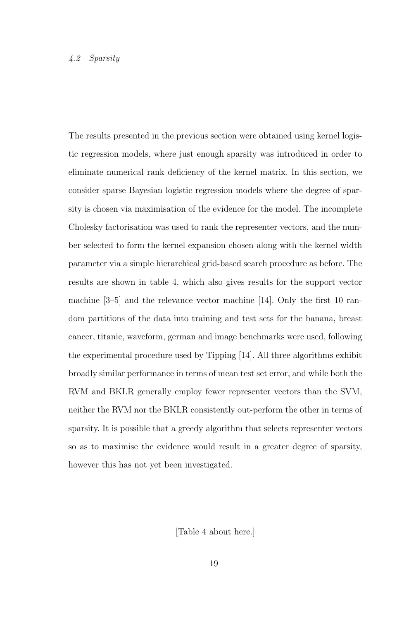#### 4.2 Sparsity

The results presented in the previous section were obtained using kernel logistic regression models, where just enough sparsity was introduced in order to eliminate numerical rank deficiency of the kernel matrix. In this section, we consider sparse Bayesian logistic regression models where the degree of sparsity is chosen via maximisation of the evidence for the model. The incomplete Cholesky factorisation was used to rank the representer vectors, and the number selected to form the kernel expansion chosen along with the kernel width parameter via a simple hierarchical grid-based search procedure as before. The results are shown in table 4, which also gives results for the support vector machine [3–5] and the relevance vector machine [14]. Only the first 10 random partitions of the data into training and test sets for the banana, breast cancer, titanic, waveform, german and image benchmarks were used, following the experimental procedure used by Tipping [14]. All three algorithms exhibit broadly similar performance in terms of mean test set error, and while both the RVM and BKLR generally employ fewer representer vectors than the SVM, neither the RVM nor the BKLR consistently out-perform the other in terms of sparsity. It is possible that a greedy algorithm that selects representer vectors so as to maximise the evidence would result in a greater degree of sparsity, however this has not yet been investigated.

[Table 4 about here.]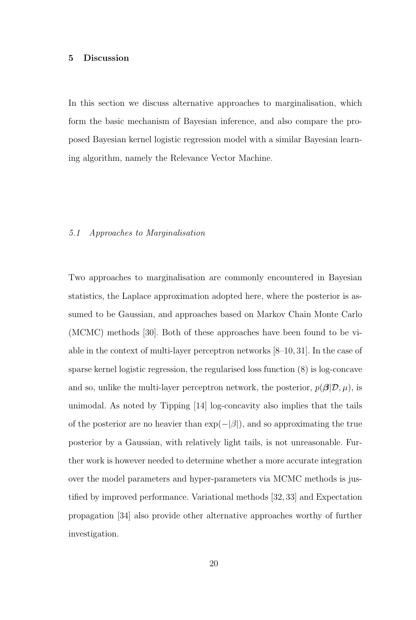#### 5 Discussion

In this section we discuss alternative approaches to marginalisation, which form the basic mechanism of Bayesian inference, and also compare the proposed Bayesian kernel logistic regression model with a similar Bayesian learning algorithm, namely the Relevance Vector Machine.

#### 5.1 Approaches to Marginalisation

Two approaches to marginalisation are commonly encountered in Bayesian statistics, the Laplace approximation adopted here, where the posterior is assumed to be Gaussian, and approaches based on Markov Chain Monte Carlo (MCMC) methods [30]. Both of these approaches have been found to be viable in the context of multi-layer perceptron networks [8–10, 31]. In the case of sparse kernel logistic regression, the regularised loss function (8) is log-concave and so, unlike the multi-layer perceptron network, the posterior,  $p(\boldsymbol{\beta}|\mathcal{D}, \mu)$ , is unimodal. As noted by Tipping [14] log-concavity also implies that the tails of the posterior are no heavier than  $\exp(-|\beta|)$ , and so approximating the true posterior by a Gaussian, with relatively light tails, is not unreasonable. Further work is however needed to determine whether a more accurate integration over the model parameters and hyper-parameters via MCMC methods is justified by improved performance. Variational methods [32, 33] and Expectation propagation [34] also provide other alternative approaches worthy of further investigation.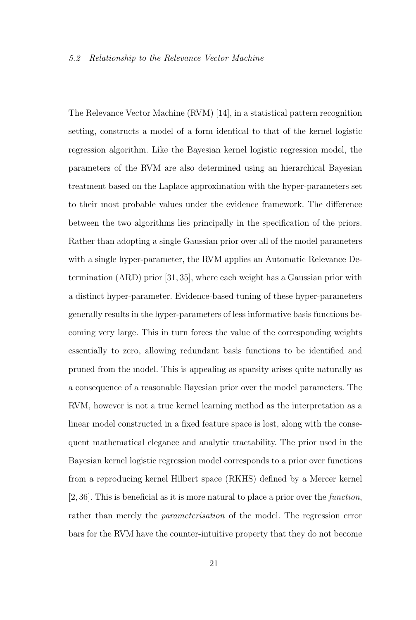The Relevance Vector Machine (RVM) [14], in a statistical pattern recognition setting, constructs a model of a form identical to that of the kernel logistic regression algorithm. Like the Bayesian kernel logistic regression model, the parameters of the RVM are also determined using an hierarchical Bayesian treatment based on the Laplace approximation with the hyper-parameters set to their most probable values under the evidence framework. The difference between the two algorithms lies principally in the specification of the priors. Rather than adopting a single Gaussian prior over all of the model parameters with a single hyper-parameter, the RVM applies an Automatic Relevance Determination (ARD) prior [31, 35], where each weight has a Gaussian prior with a distinct hyper-parameter. Evidence-based tuning of these hyper-parameters generally results in the hyper-parameters of less informative basis functions becoming very large. This in turn forces the value of the corresponding weights essentially to zero, allowing redundant basis functions to be identified and pruned from the model. This is appealing as sparsity arises quite naturally as a consequence of a reasonable Bayesian prior over the model parameters. The RVM, however is not a true kernel learning method as the interpretation as a linear model constructed in a fixed feature space is lost, along with the consequent mathematical elegance and analytic tractability. The prior used in the Bayesian kernel logistic regression model corresponds to a prior over functions from a reproducing kernel Hilbert space (RKHS) defined by a Mercer kernel [2, 36]. This is beneficial as it is more natural to place a prior over the function, rather than merely the *parameterisation* of the model. The regression error bars for the RVM have the counter-intuitive property that they do not become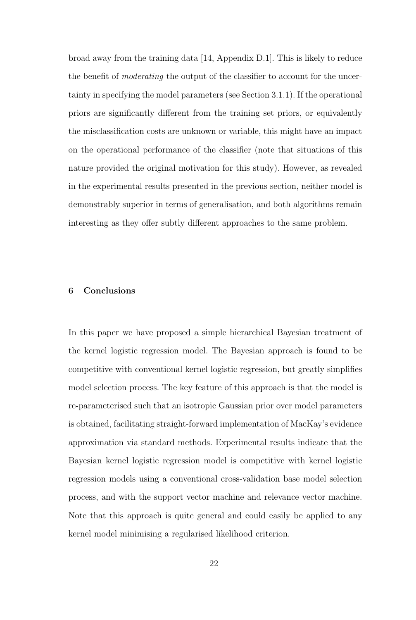broad away from the training data [14, Appendix D.1]. This is likely to reduce the benefit of *moderating* the output of the classifier to account for the uncertainty in specifying the model parameters (see Section 3.1.1). If the operational priors are significantly different from the training set priors, or equivalently the misclassification costs are unknown or variable, this might have an impact on the operational performance of the classifier (note that situations of this nature provided the original motivation for this study). However, as revealed in the experimental results presented in the previous section, neither model is demonstrably superior in terms of generalisation, and both algorithms remain interesting as they offer subtly different approaches to the same problem.

#### 6 Conclusions

In this paper we have proposed a simple hierarchical Bayesian treatment of the kernel logistic regression model. The Bayesian approach is found to be competitive with conventional kernel logistic regression, but greatly simplifies model selection process. The key feature of this approach is that the model is re-parameterised such that an isotropic Gaussian prior over model parameters is obtained, facilitating straight-forward implementation of MacKay's evidence approximation via standard methods. Experimental results indicate that the Bayesian kernel logistic regression model is competitive with kernel logistic regression models using a conventional cross-validation base model selection process, and with the support vector machine and relevance vector machine. Note that this approach is quite general and could easily be applied to any kernel model minimising a regularised likelihood criterion.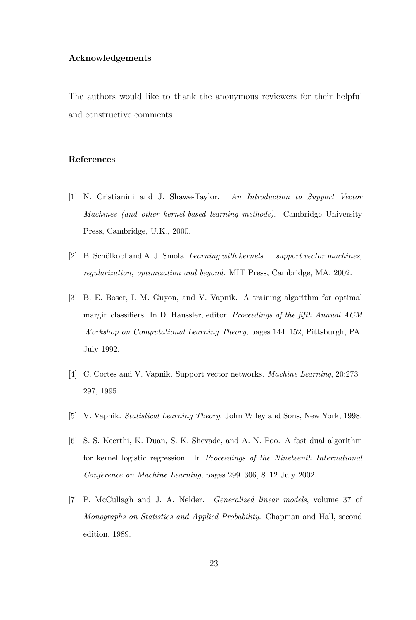#### Acknowledgements

The authors would like to thank the anonymous reviewers for their helpful and constructive comments.

#### References

- [1] N. Cristianini and J. Shawe-Taylor. An Introduction to Support Vector Machines (and other kernel-based learning methods). Cambridge University Press, Cambridge, U.K., 2000.
- [2] B. Schölkopf and A. J. Smola. Learning with kernels support vector machines, regularization, optimization and beyond. MIT Press, Cambridge, MA, 2002.
- [3] B. E. Boser, I. M. Guyon, and V. Vapnik. A training algorithm for optimal margin classifiers. In D. Haussler, editor, Proceedings of the fifth Annual ACM Workshop on Computational Learning Theory, pages 144–152, Pittsburgh, PA, July 1992.
- [4] C. Cortes and V. Vapnik. Support vector networks. Machine Learning, 20:273– 297, 1995.
- [5] V. Vapnik. Statistical Learning Theory. John Wiley and Sons, New York, 1998.
- [6] S. S. Keerthi, K. Duan, S. K. Shevade, and A. N. Poo. A fast dual algorithm for kernel logistic regression. In Proceedings of the Nineteenth International Conference on Machine Learning, pages 299–306, 8–12 July 2002.
- [7] P. McCullagh and J. A. Nelder. Generalized linear models, volume 37 of Monographs on Statistics and Applied Probability. Chapman and Hall, second edition, 1989.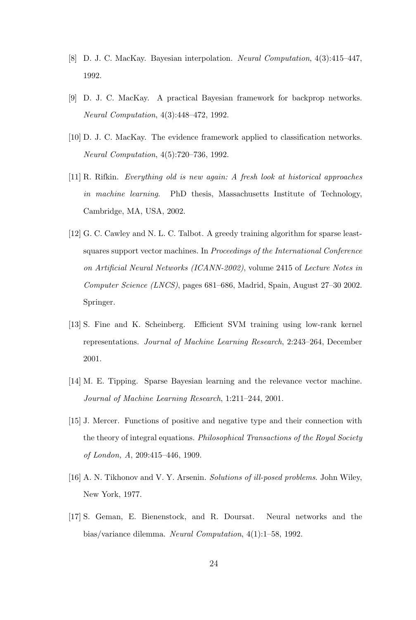- [8] D. J. C. MacKay. Bayesian interpolation. Neural Computation, 4(3):415–447, 1992.
- [9] D. J. C. MacKay. A practical Bayesian framework for backprop networks. Neural Computation, 4(3):448–472, 1992.
- [10] D. J. C. MacKay. The evidence framework applied to classification networks. Neural Computation, 4(5):720–736, 1992.
- [11] R. Rifkin. Everything old is new again: A fresh look at historical approaches in machine learning. PhD thesis, Massachusetts Institute of Technology, Cambridge, MA, USA, 2002.
- [12] G. C. Cawley and N. L. C. Talbot. A greedy training algorithm for sparse leastsquares support vector machines. In Proceedings of the International Conference on Artificial Neural Networks (ICANN-2002), volume 2415 of Lecture Notes in Computer Science (LNCS), pages 681–686, Madrid, Spain, August 27–30 2002. Springer.
- [13] S. Fine and K. Scheinberg. Efficient SVM training using low-rank kernel representations. Journal of Machine Learning Research, 2:243–264, December 2001.
- [14] M. E. Tipping. Sparse Bayesian learning and the relevance vector machine. Journal of Machine Learning Research, 1:211–244, 2001.
- [15] J. Mercer. Functions of positive and negative type and their connection with the theory of integral equations. Philosophical Transactions of the Royal Society of London, A, 209:415–446, 1909.
- [16] A. N. Tikhonov and V. Y. Arsenin. Solutions of ill-posed problems. John Wiley, New York, 1977.
- [17] S. Geman, E. Bienenstock, and R. Doursat. Neural networks and the bias/variance dilemma. Neural Computation, 4(1):1–58, 1992.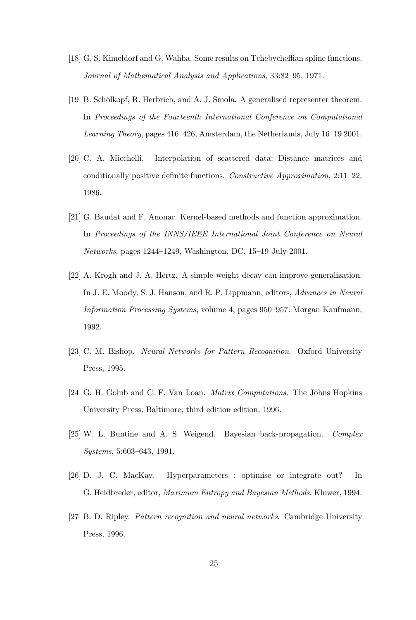- [18] G. S. Kimeldorf and G. Wahba. Some results on Tchebycheffian spline functions. Journal of Mathematical Analysis and Applications, 33:82–95, 1971.
- [19] B. Schölkopf, R. Herbrich, and A. J. Smola. A generalised representer theorem. In Proceedings of the Fourteenth International Conference on Computational Learning Theory, pages 416–426, Amsterdam, the Netherlands, July 16–19 2001.
- [20] C. A. Micchelli. Interpolation of scattered data: Distance matrices and conditionally positive definite functions. Constructive Approximation, 2:11–22, 1986.
- [21] G. Baudat and F. Anouar. Kernel-based methods and function approximation. In Proceedings of the INNS/IEEE International Joint Conference on Neural Networks, pages 1244–1249, Washington, DC, 15–19 July 2001.
- [22] A. Krogh and J. A. Hertz. A simple weight decay can improve generalization. In J. E. Moody, S. J. Hanson, and R. P. Lippmann, editors, Advances in Neural Information Processing Systems, volume 4, pages 950–957. Morgan Kaufmann, 1992.
- [23] C. M. Bishop. Neural Networks for Pattern Recognition. Oxford University Press, 1995.
- [24] G. H. Golub and C. F. Van Loan. Matrix Computations. The Johns Hopkins University Press, Baltimore, third edition edition, 1996.
- [25] W. L. Buntine and A. S. Weigend. Bayesian back-propagation. Complex Systems, 5:603–643, 1991.
- [26] D. J. C. MacKay. Hyperparameters : optimise or integrate out? In G. Heidbreder, editor, Maximum Entropy and Bayesian Methods. Kluwer, 1994.
- [27] B. D. Ripley. Pattern recognition and neural networks. Cambridge University Press, 1996.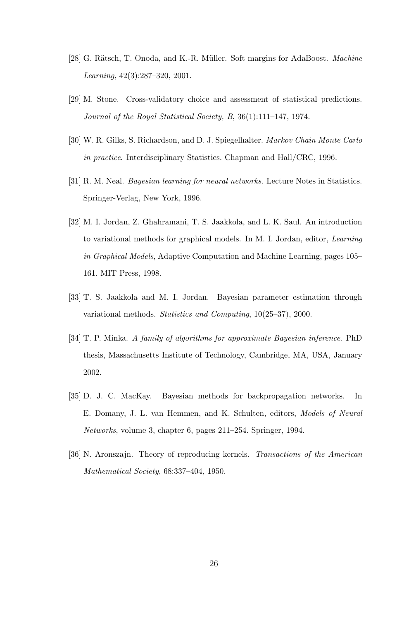- [28] G. Rätsch, T. Onoda, and K.-R. Müller. Soft margins for AdaBoost. Machine Learning, 42(3):287–320, 2001.
- [29] M. Stone. Cross-validatory choice and assessment of statistical predictions. Journal of the Royal Statistical Society, B, 36(1):111–147, 1974.
- [30] W. R. Gilks, S. Richardson, and D. J. Spiegelhalter. Markov Chain Monte Carlo in practice. Interdisciplinary Statistics. Chapman and Hall/CRC, 1996.
- [31] R. M. Neal. Bayesian learning for neural networks. Lecture Notes in Statistics. Springer-Verlag, New York, 1996.
- [32] M. I. Jordan, Z. Ghahramani, T. S. Jaakkola, and L. K. Saul. An introduction to variational methods for graphical models. In M. I. Jordan, editor, Learning in Graphical Models, Adaptive Computation and Machine Learning, pages 105– 161. MIT Press, 1998.
- [33] T. S. Jaakkola and M. I. Jordan. Bayesian parameter estimation through variational methods. Statistics and Computing, 10(25–37), 2000.
- [34] T. P. Minka. A family of algorithms for approximate Bayesian inference. PhD thesis, Massachusetts Institute of Technology, Cambridge, MA, USA, January 2002.
- [35] D. J. C. MacKay. Bayesian methods for backpropagation networks. In E. Domany, J. L. van Hemmen, and K. Schulten, editors, Models of Neural Networks, volume 3, chapter 6, pages 211–254. Springer, 1994.
- [36] N. Aronszajn. Theory of reproducing kernels. Transactions of the American Mathematical Society, 68:337–404, 1950.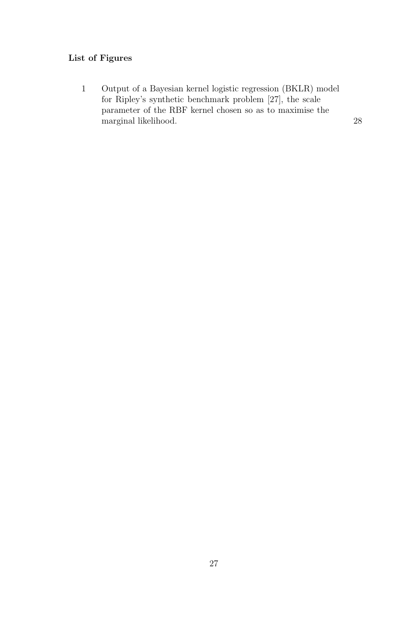## List of Figures

1 Output of a Bayesian kernel logistic regression (BKLR) model for Ripley's synthetic benchmark problem [27], the scale parameter of the RBF kernel chosen so as to maximise the marginal likelihood. 28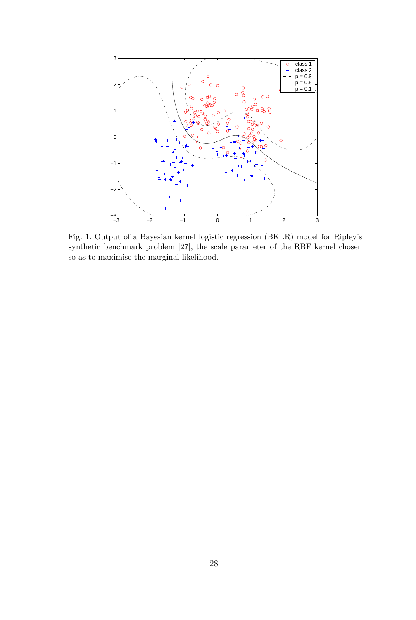

Fig. 1. Output of a Bayesian kernel logistic regression (BKLR) model for Ripley's synthetic benchmark problem [27], the scale parameter of the RBF kernel chosen so as to maximise the marginal likelihood.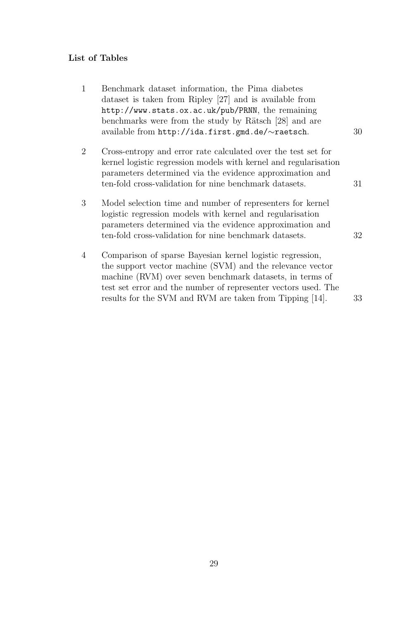# List of Tables

| $\mathbf{1}$ | Benchmark dataset information, the Pima diabetes<br>dataset is taken from Ripley [27] and is available from<br>http://www.stats.ox.ac.uk/pub/PRNN, the remaining<br>benchmarks were from the study by Rätsch [28] and are<br>available from http://ida.first.gmd.de/~raetsch.                                    | 30 |
|--------------|------------------------------------------------------------------------------------------------------------------------------------------------------------------------------------------------------------------------------------------------------------------------------------------------------------------|----|
| 2            | Cross-entropy and error rate calculated over the test set for<br>kernel logistic regression models with kernel and regularisation<br>parameters determined via the evidence approximation and<br>ten-fold cross-validation for nine benchmark datasets.                                                          | 31 |
| 3            | Model selection time and number of representers for kernel<br>logistic regression models with kernel and regularisation<br>parameters determined via the evidence approximation and<br>ten-fold cross-validation for nine benchmark datasets.                                                                    | 32 |
| 4            | Comparison of sparse Bayesian kernel logistic regression,<br>the support vector machine (SVM) and the relevance vector<br>machine (RVM) over seven benchmark datasets, in terms of<br>test set error and the number of representer vectors used. The<br>results for the SVM and RVM are taken from Tipping [14]. | 33 |
|              |                                                                                                                                                                                                                                                                                                                  |    |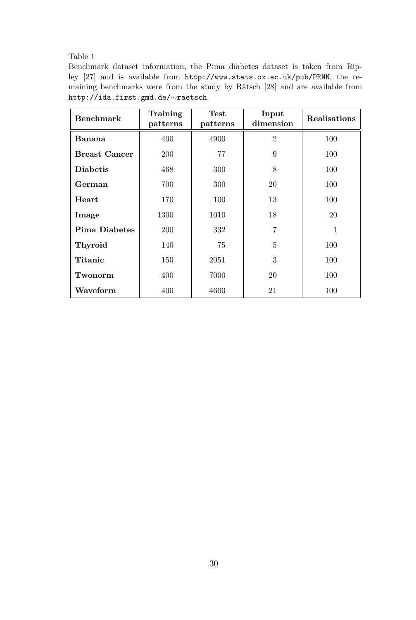Benchmark dataset information, the Pima diabetes dataset is taken from Ripley [27] and is available from http://www.stats.ox.ac.uk/pub/PRNN, the remaining benchmarks were from the study by Rätsch [28] and are available from http://ida.first.gmd.de/∼raetsch.

| <b>Benchmark</b>     | Training<br>patterns | <b>Test</b><br>patterns | Input<br>dimension | Realisations |
|----------------------|----------------------|-------------------------|--------------------|--------------|
| Banana               | 400                  | 4900                    | $\overline{2}$     | 100          |
| <b>Breast Cancer</b> | 200                  | 77<br>9                 |                    | 100          |
| <b>Diabetis</b>      | 468                  | 300                     | 8                  | 100          |
| German               | 700                  | 300                     | 20                 | 100          |
| Heart                | 170                  | 100                     | 13                 | 100          |
| Image                | 1300                 | 1010                    | 18                 | 20           |
| <b>Pima Diabetes</b> | 200                  | 332                     | 7                  | 1            |
| Thyroid              | 140                  | 75                      | $\overline{5}$     | 100          |
| Titanic              | 150                  | 2051                    | 3                  | 100          |
| Twonorm              | 400                  | 7000                    | 20                 | 100          |
| Waveform             | 400                  | 4600                    | 21                 | 100          |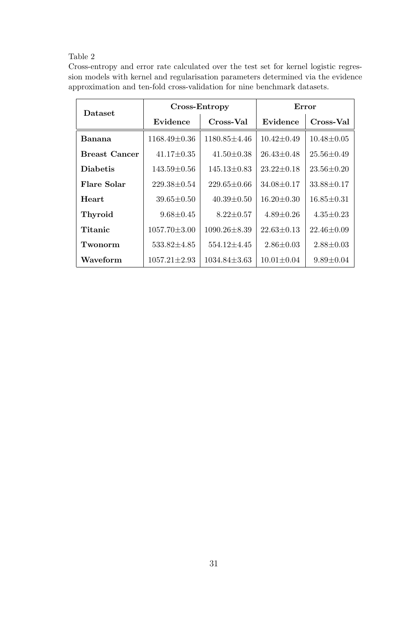Cross-entropy and error rate calculated over the test set for kernel logistic regression models with kernel and regularisation parameters determined via the evidence approximation and ten-fold cross-validation for nine benchmark datasets.

| <b>Dataset</b>       |                     | Cross-Entropy      | Error            |                  |  |
|----------------------|---------------------|--------------------|------------------|------------------|--|
|                      | Evidence            | Cross-Val          | Evidence         | Cross-Val        |  |
| Banana               | $1168.49 \pm 0.36$  | 1180.85±4.46       | $10.42 \pm 0.49$ | $10.48 \pm 0.05$ |  |
| <b>Breast Cancer</b> | $41.17 \pm 0.35$    | $41.50 \pm 0.38$   | $26.43 \pm 0.48$ | $25.56 \pm 0.49$ |  |
| <b>Diabetis</b>      | $143.59 {\pm} 0.56$ | $145.13 \pm 0.83$  | $23.22 \pm 0.18$ | $23.56 \pm 0.20$ |  |
| Flare Solar          | $229.38 \pm 0.54$   | 229.65±0.66        | $34.08 \pm 0.17$ | $33.88 \pm 0.17$ |  |
| <b>Heart</b>         | $39.65 \pm 0.50$    | $40.39 \pm 0.50$   | $16.20 \pm 0.30$ | $16.85 \pm 0.31$ |  |
| <b>Thyroid</b>       | $9.68 \pm 0.45$     | $8.22 \pm 0.57$    | $4.89 \pm 0.26$  | $4.35 \pm 0.23$  |  |
| Titanic              | $1057.70 \pm 3.00$  | $1090.26 \pm 8.39$ | $22.63 \pm 0.13$ | $22.46 \pm 0.09$ |  |
| Twonorm              | $533.82 \pm 4.85$   | 554.12±4.45        | $2.86 \pm 0.03$  | $2.88 \pm 0.03$  |  |
| Waveform             | $1057.21 \pm 2.93$  | $1034.84 \pm 3.63$ | $10.01 \pm 0.04$ | $9.89 \pm 0.04$  |  |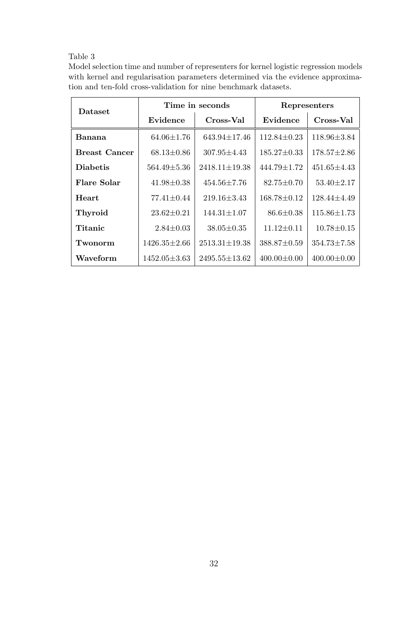| Model selection time and number of representers for kernel logistic regression models |
|---------------------------------------------------------------------------------------|
| with kernel and regularisation parameters determined via the evidence approxima-      |
| tion and ten-fold cross-validation for nine benchmark datasets.                       |

| <b>Dataset</b>       |                    | Time in seconds     | Representers      |                   |  |
|----------------------|--------------------|---------------------|-------------------|-------------------|--|
|                      | Evidence           | Cross-Val           | Evidence          | Cross-Val         |  |
| Banana               | $64.06 \pm 1.76$   | $643.94 \pm 17.46$  | $112.84 \pm 0.23$ | $118.96 \pm 3.84$ |  |
| <b>Breast Cancer</b> | $68.13 \pm 0.86$   | $307.95 \pm 4.43$   | $185.27 \pm 0.33$ | $178.57 \pm 2.86$ |  |
| <b>Diabetis</b>      | $564.49 \pm 5.36$  | $2418.11 \pm 19.38$ | 444.79±1.72       | $451.65 \pm 4.43$ |  |
| Flare Solar          | $41.98 \pm 0.38$   | $454.56 \pm 7.76$   | $82.75 \pm 0.70$  | $53.40 \pm 2.17$  |  |
| <b>Heart</b>         | $77.41 \pm 0.44$   | $219.16 \pm 3.43$   | $168.78 \pm 0.12$ | $128.44 \pm 4.49$ |  |
| <b>Thyroid</b>       | $23.62 \pm 0.21$   | $144.31 \pm 1.07$   | $86.6 \pm 0.38$   | $115.86 \pm 1.73$ |  |
| Titanic              | $2.84 \pm 0.03$    | $38.05 \pm 0.35$    | $11.12 \pm 0.11$  | $10.78 \pm 0.15$  |  |
| Twonorm              | $1426.35 \pm 2.66$ | $2513.31 \pm 19.38$ | $388.87 \pm 0.59$ | $354.73 \pm 7.58$ |  |
| Waveform             | $1452.05 \pm 3.63$ | $2495.55 \pm 13.62$ | $400.00 \pm 0.00$ | $400.00 \pm 0.00$ |  |